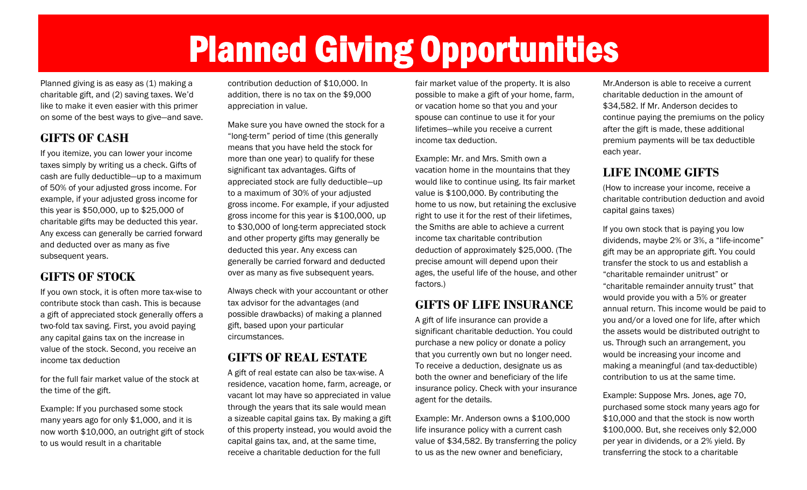## Planned Giving Opportunities

Planned giving is as easy as (1) making a charitable gift, and (2) saving taxes. We'd like to make it even easier with this primer on some of the best ways to give—and save.

#### **GIFTS OF CASH**

If you itemize, you can lower your income taxes simply by writing us a check. Gifts of cash are fully deductible—up to a maximum of 50% of your adjusted gross income. For example, if your adjusted gross income for this year is \$50,000, up to \$25,000 of charitable gifts may be deducted this year. Any excess can generally be carried forward and deducted over as many as five subsequent years.

#### **GIFTS OF STOCK**

If you own stock, it is often more tax-wise to contribute stock than cash. This is because a gift of appreciated stock generally offers a two-fold tax saving. First, you avoid paying any capital gains tax on the increase in value of the stock. Second, you receive an income tax deduction

for the full fair market value of the stock at the time of the gift.

Example: If you purchased some stock many years ago for only \$1,000, and it is now worth \$10,000, an outright gift of stock to us would result in a charitable

contribution deduction of \$10,000. In addition, there is no tax on the \$9,000 appreciation in value.

Make sure you have owned the stock for a "long-term" period of time (this generally means that you have held the stock for more than one year) to qualify for these significant tax advantages. Gifts of appreciated stock are fully deductible—up to a maximum of 30% of your adjusted gross income. For example, if your adjusted gross income for this year is \$100,000, up to \$30,000 of long-term appreciated stock and other property gifts may generally be deducted this year. Any excess can generally be carried forward and deducted over as many as five subsequent years.

Always check with your accountant or other tax advisor for the advantages (and possible drawbacks) of making a planned gift, based upon your particular circumstances.

#### **GIFTS OF REAL ESTATE**

A gift of real estate can also be tax-wise. A residence, vacation home, farm, acreage, or vacant lot may have so appreciated in value through the years that its sale would mean a sizeable capital gains tax. By making a gift of this property instead, you would avoid the capital gains tax, and, at the same time, receive a charitable deduction for the full

fair market value of the property. It is also possible to make a gift of your home, farm, or vacation home so that you and your spouse can continue to use it for your lifetimes—while you receive a current income tax deduction.

Example: Mr. and Mrs. Smith own a vacation home in the mountains that they would like to continue using. Its fair market value is \$100,000. By contributing the home to us now, but retaining the exclusive right to use it for the rest of their lifetimes, the Smiths are able to achieve a current income tax charitable contribution deduction of approximately \$25,000. (The precise amount will depend upon their ages, the useful life of the house, and other factors.)

#### **GIFTS OF LIFE INSURANCE**

A gift of life insurance can provide a significant charitable deduction. You could purchase a new policy or donate a policy that you currently own but no longer need. To receive a deduction, designate us as both the owner and beneficiary of the life insurance policy. Check with your insurance agent for the details.

Example: Mr. Anderson owns a \$100,000 life insurance policy with a current cash value of \$34,582. By transferring the policy to us as the new owner and beneficiary,

Mr.Anderson is able to receive a current charitable deduction in the amount of \$34,582. If Mr. Anderson decides to continue paying the premiums on the policy after the gift is made, these additional premium payments will be tax deductible each year.

#### **LIFE INCOME GIFTS**

(How to increase your income, receive a charitable contribution deduction and avoid capital gains taxes)

If you own stock that is paying you low dividends, maybe 2% or 3%, a "life-income" gift may be an appropriate gift. You could transfer the stock to us and establish a "charitable remainder unitrust" or "charitable remainder annuity trust" that would provide you with a 5% or greater annual return. This income would be paid to you and/or a loved one for life, after which the assets would be distributed outright to us. Through such an arrangement, you would be increasing your income and making a meaningful (and tax-deductible) contribution to us at the same time.

Example: Suppose Mrs. Jones, age 70, purchased some stock many years ago for \$10,000 and that the stock is now worth \$100,000. But, she receives only \$2,000 per year in dividends, or a 2% yield. By transferring the stock to a charitable